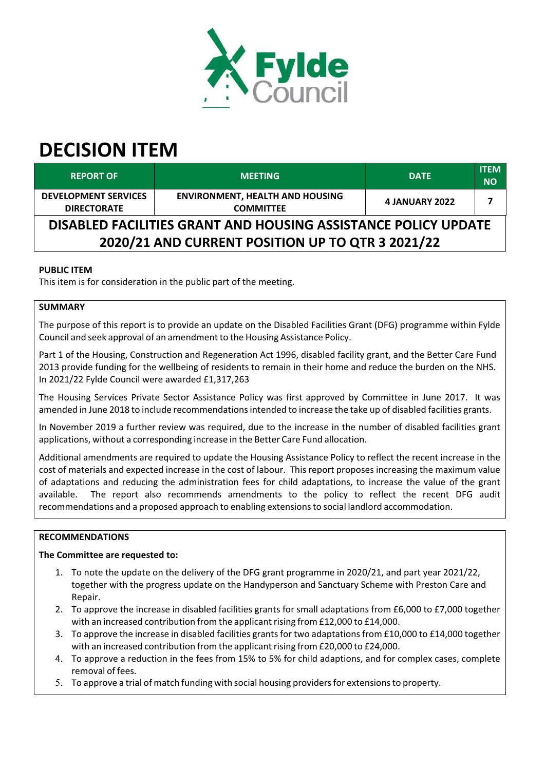

# **DECISION ITEM**

| <b>REPORT OF</b>                                                                                                   | <b>MEETING</b>                                             | <b>DATE</b>           | <b>ITEM</b><br><b>NO</b> |  |
|--------------------------------------------------------------------------------------------------------------------|------------------------------------------------------------|-----------------------|--------------------------|--|
| <b>DEVELOPMENT SERVICES</b><br><b>DIRECTORATE</b>                                                                  | <b>ENVIRONMENT, HEALTH AND HOUSING</b><br><b>COMMITTEE</b> | <b>4 JANUARY 2022</b> |                          |  |
| DISABLED FACILITIES GRANT AND HOUSING ASSISTANCE POLICY UPDATE<br>2020/21 AND CURRENT POSITION UP TO QTR 3 2021/22 |                                                            |                       |                          |  |

# **PUBLIC ITEM**

This item is for consideration in the public part of the meeting.

# **SUMMARY**

The purpose of this report is to provide an update on the Disabled Facilities Grant (DFG) programme within Fylde Council and seek approval of an amendment to the Housing Assistance Policy.

Part 1 of the Housing, Construction and Regeneration Act 1996, disabled facility grant, and the Better Care Fund 2013 provide funding for the wellbeing of residents to remain in their home and reduce the burden on the NHS. In 2021/22 Fylde Council were awarded £1,317,263

The Housing Services Private Sector Assistance Policy was first approved by Committee in June 2017. It was amended in June 2018 to include recommendations intended to increase the take up of disabled facilities grants.

In November 2019 a further review was required, due to the increase in the number of disabled facilities grant applications, without a corresponding increase in the Better Care Fund allocation.

Additional amendments are required to update the Housing Assistance Policy to reflect the recent increase in the cost of materials and expected increase in the cost of labour. This report proposes increasing the maximum value of adaptations and reducing the administration fees for child adaptations, to increase the value of the grant available. The report also recommends amendments to the policy to reflect the recent DFG audit recommendations and a proposed approach to enabling extensionsto social landlord accommodation.

# **RECOMMENDATIONS**

# **The Committee are requested to:**

- 1. To note the update on the delivery of the DFG grant programme in 2020/21, and part year 2021/22, together with the progress update on the Handyperson and Sanctuary Scheme with Preston Care and Repair.
- 2. To approve the increase in disabled facilities grants for small adaptations from £6,000 to £7,000 together with an increased contribution from the applicant rising from  $£12,000$  to  $£14,000$ .
- 3. To approve the increase in disabled facilities grants for two adaptations from £10,000 to £14,000 together with an increased contribution from the applicant rising from  $£20,000$  to  $£24,000$ .
- 4. To approve a reduction in the fees from 15% to 5% for child adaptions, and for complex cases, complete removal of fees.
- 5. To approve a trial of match funding with social housing providersfor extensionsto property.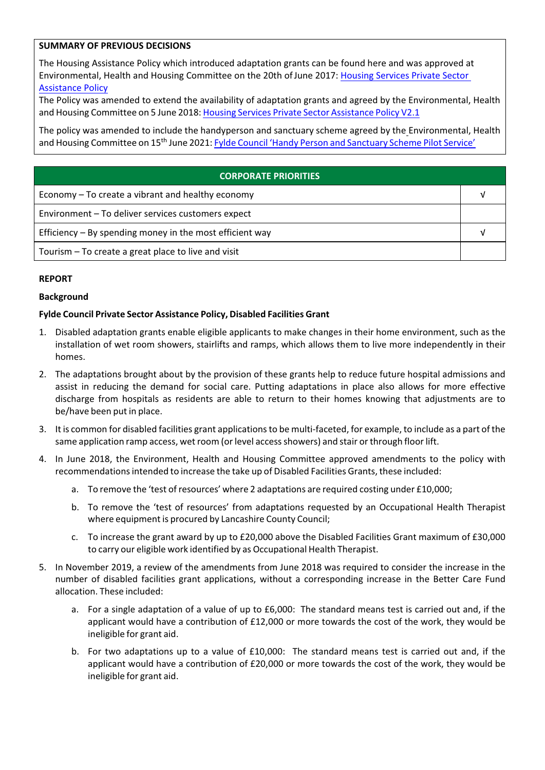# **SUMMARY OF PREVIOUS DECISIONS**

The Housing Assistance Policy which introduced adaptation grants can be found here and was approved at Environmental, Health and Housing Committee on the 20th ofJune 2017: Housing [Services](https://fylde.cmis.uk.com/fylde/Document.ashx?czJKcaeAi5tUFL1DTL2UE4zNRBcoShgo=79hr9xixRFSIWP6AFSE4XKTi%2fZ5b9hOMbewLQ2tX0kRDuc3IyHfGUQ%3d%3d&rUzwRPf%2bZ3zd4E7Ikn8Lyw%3d%3d=pwRE6AGJFLDNlh225F5QMaQWCtPHwdhUfCZ%2fLUQzgA2uL5jNRG4jdQ%3d%3d&mCTIbCubSFfXsDGW9IXnlg%3d%3d=hFflUdN3100%3d&kCx1AnS9%2fpWZQ40DXFvdEw%3d%3d=hFflUdN3100%3d&uJovDxwdjMPoYv%2bAJvYtyA%3d%3d=ctNJFf55vVA%3d&FgPlIEJYlotS%2bYGoBi5olA%3d%3d=NHdURQburHA%3d&d9Qjj0ag1Pd993jsyOJqFvmyB7X0CSQK=ctNJFf55vVA%3d&WGewmoAfeNR9xqBux0r1Q8Za60lavYmz=ctNJFf55vVA%3d&WGewmoAfeNQ16B2MHuCpMRKZMwaG1PaO=ctNJFf55vVA%3d) Private Sector [Assistance](https://fylde.cmis.uk.com/fylde/Document.ashx?czJKcaeAi5tUFL1DTL2UE4zNRBcoShgo=79hr9xixRFSIWP6AFSE4XKTi%2fZ5b9hOMbewLQ2tX0kRDuc3IyHfGUQ%3d%3d&rUzwRPf%2bZ3zd4E7Ikn8Lyw%3d%3d=pwRE6AGJFLDNlh225F5QMaQWCtPHwdhUfCZ%2fLUQzgA2uL5jNRG4jdQ%3d%3d&mCTIbCubSFfXsDGW9IXnlg%3d%3d=hFflUdN3100%3d&kCx1AnS9%2fpWZQ40DXFvdEw%3d%3d=hFflUdN3100%3d&uJovDxwdjMPoYv%2bAJvYtyA%3d%3d=ctNJFf55vVA%3d&FgPlIEJYlotS%2bYGoBi5olA%3d%3d=NHdURQburHA%3d&d9Qjj0ag1Pd993jsyOJqFvmyB7X0CSQK=ctNJFf55vVA%3d&WGewmoAfeNR9xqBux0r1Q8Za60lavYmz=ctNJFf55vVA%3d&WGewmoAfeNQ16B2MHuCpMRKZMwaG1PaO=ctNJFf55vVA%3d) Policy

The Policy was amended to extend the availability of adaptation grants and agreed by the Environmental, Health and Housing Committee on 5 June 2018: Housing Services Private Sector [Assistance](https://fylde.cmis.uk.com/fylde/Document.ashx?czJKcaeAi5tUFL1DTL2UE4zNRBcoShgo=5my7AT5NDHLmKkozkp6SlrGN9ergdsi6UwJr3aVnpfNqr6kplxeBEQ%3d%3d&rUzwRPf%2bZ3zd4E7Ikn8Lyw%3d%3d=pwRE6AGJFLDNlh225F5QMaQWCtPHwdhUfCZ%2fLUQzgA2uL5jNRG4jdQ%3d%3d&mCTIbCubSFfXsDGW9IXnlg%3d%3d=hFflUdN3100%3d&kCx1AnS9%2fpWZQ40DXFvdEw%3d%3d=hFflUdN3100%3d&uJovDxwdjMPoYv%2bAJvYtyA%3d%3d=ctNJFf55vVA%3d&FgPlIEJYlotS%2bYGoBi5olA%3d%3d=NHdURQburHA%3d&d9Qjj0ag1Pd993jsyOJqFvmyB7X0CSQK=ctNJFf55vVA%3d&WGewmoAfeNR9xqBux0r1Q8Za60lavYmz=ctNJFf55vVA%3d&WGewmoAfeNQ16B2MHuCpMRKZMwaG1PaO=ctNJFf55vVA%3d) Policy V2.1

The policy was amended to include the handyperson and sanctuary scheme agreed by the Environmental, Health and Housing Committee on 15<sup>th</sup> June 2021: <mark>Fylde Council 'Handy Person and [Sanctuary](https://fylde.cmis.uk.com/fylde/Document.ashx?czJKcaeAi5tUFL1DTL2UE4zNRBcoShgo=pZYyMYVD9qxjqQfLJueejwNKN8RXTudmL8zc%2b6PGhXWVNn9qjzZZtw%3d%3d&rUzwRPf%2bZ3zd4E7Ikn8Lyw%3d%3d=pwRE6AGJFLDNlh225F5QMaQWCtPHwdhUfCZ%2fLUQzgA2uL5jNRG4jdQ%3d%3d&mCTIbCubSFfXsDGW9IXnlg%3d%3d=hFflUdN3100%3d&kCx1AnS9%2fpWZQ40DXFvdEw%3d%3d=hFflUdN3100%3d&uJovDxwdjMPoYv%2bAJvYtyA%3d%3d=ctNJFf55vVA%3d&FgPlIEJYlotS%2bYGoBi5olA%3d%3d=NHdURQburHA%3d&d9Qjj0ag1Pd993jsyOJqFvmyB7X0CSQK=ctNJFf55vVA%3d&WGewmoAfeNR9xqBux0r1Q8Za60lavYmz=ctNJFf55vVA%3d&WGewmoAfeNQ16B2MHuCpMRKZMwaG1PaO=ctNJFf55vVA%3d) Scheme Pilot Service'</mark>

| <b>CORPORATE PRIORITIES</b>                                |  |  |
|------------------------------------------------------------|--|--|
| Economy – To create a vibrant and healthy economy          |  |  |
| Environment - To deliver services customers expect         |  |  |
| Efficiency $-$ By spending money in the most efficient way |  |  |
| Tourism – To create a great place to live and visit        |  |  |

# **REPORT**

# **Background**

# **Fylde Council Private Sector Assistance Policy, Disabled Facilities Grant**

- 1. Disabled adaptation grants enable eligible applicants to make changes in their home environment, such as the installation of wet room showers, stairlifts and ramps, which allows them to live more independently in their homes.
- 2. The adaptations brought about by the provision of these grants help to reduce future hospital admissions and assist in reducing the demand for social care. Putting adaptations in place also allows for more effective discharge from hospitals as residents are able to return to their homes knowing that adjustments are to be/have been put in place.
- 3. It is common for disabled facilities grant applicationsto be multi‐faceted, for example, to include as a part of the same application ramp access, wet room (or level access showers) and stair or through floor lift.
- 4. In June 2018, the Environment, Health and Housing Committee approved amendments to the policy with recommendationsintended to increase the take up of Disabled Facilities Grants, these included:
	- a. To remove the 'test of resources' where 2 adaptations are required costing under £10,000;
	- b. To remove the 'test of resources' from adaptations requested by an Occupational Health Therapist where equipment is procured by Lancashire County Council;
	- c. To increase the grant award by up to £20,000 above the Disabled Facilities Grant maximum of £30,000 to carry our eligible work identified by as Occupational Health Therapist.
- 5. In November 2019, a review of the amendments from June 2018 was required to consider the increase in the number of disabled facilities grant applications, without a corresponding increase in the Better Care Fund allocation. These included:
	- a. For a single adaptation of a value of up to £6,000: The standard means test is carried out and, if the applicant would have a contribution of £12,000 or more towards the cost of the work, they would be ineligible for grant aid.
	- b. For two adaptations up to a value of £10,000: The standard means test is carried out and, if the applicant would have a contribution of £20,000 or more towards the cost of the work, they would be ineligible for grant aid.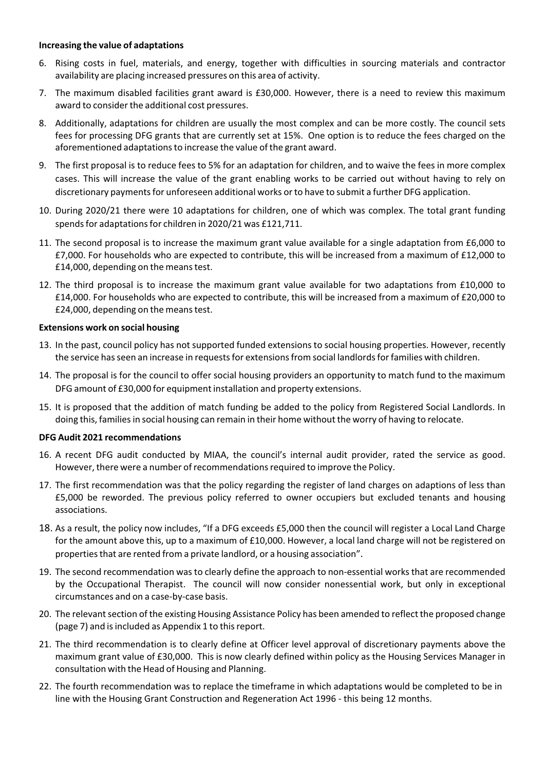#### **Increasing the value of adaptations**

- 6. Rising costs in fuel, materials, and energy, together with difficulties in sourcing materials and contractor availability are placing increased pressures on this area of activity.
- 7. The maximum disabled facilities grant award is £30,000. However, there is a need to review this maximum award to consider the additional cost pressures.
- 8. Additionally, adaptations for children are usually the most complex and can be more costly. The council sets fees for processing DFG grants that are currently set at 15%. One option is to reduce the fees charged on the aforementioned adaptationsto increase the value of the grant award.
- 9. The first proposal is to reduce fees to 5% for an adaptation for children, and to waive the fees in more complex cases. This will increase the value of the grant enabling works to be carried out without having to rely on discretionary paymentsfor unforeseen additional works orto have to submit a further DFG application.
- 10. During 2020/21 there were 10 adaptations for children, one of which was complex. The total grant funding spends for adaptations for children in 2020/21 was £121,711.
- 11. The second proposal is to increase the maximum grant value available for a single adaptation from £6,000 to £7,000. For households who are expected to contribute, this will be increased from a maximum of £12,000 to £14,000, depending on the meanstest.
- 12. The third proposal is to increase the maximum grant value available for two adaptations from £10,000 to £14,000. For households who are expected to contribute, this will be increased from a maximum of £20,000 to £24,000, depending on the meanstest.

# **Extensions work on social housing**

- 13. In the past, council policy has not supported funded extensions to social housing properties. However, recently the service has seen an increase in requests for extensions from social landlords for families with children.
- 14. The proposal is for the council to offer social housing providers an opportunity to match fund to the maximum DFG amount of £30,000 for equipment installation and property extensions.
- 15. It is proposed that the addition of match funding be added to the policy from Registered Social Landlords. In doing this, familiesin social housing can remain in their home without the worry of having to relocate.

#### **DFG Audit 2021 recommendations**

- 16. A recent DFG audit conducted by MIAA, the council's internal audit provider, rated the service as good. However, there were a number of recommendations required to improve the Policy.
- 17. The first recommendation was that the policy regarding the register of land charges on adaptions of less than £5,000 be reworded. The previous policy referred to owner occupiers but excluded tenants and housing associations.
- 18. As a result, the policy now includes, "If a DFG exceeds £5,000 then the council will register a Local Land Charge for the amount above this, up to a maximum of £10,000. However, a local land charge will not be registered on properties that are rented from a private landlord, or a housing association".
- 19. The second recommendation was to clearly define the approach to non-essential works that are recommended by the Occupational Therapist. The council will now consider nonessential work, but only in exceptional circumstances and on a case‐by‐case basis.
- 20. The relevant section of the existing Housing Assistance Policy has been amended to reflect the proposed change (page 7) and isincluded as Appendix 1 to thisreport.
- 21. The third recommendation is to clearly define at Officer level approval of discretionary payments above the maximum grant value of £30,000. This is now clearly defined within policy as the Housing Services Manager in consultation with the Head of Housing and Planning.
- 22. The fourth recommendation was to replace the timeframe in which adaptations would be completed to be in line with the Housing Grant Construction and Regeneration Act 1996 ‐ this being 12 months.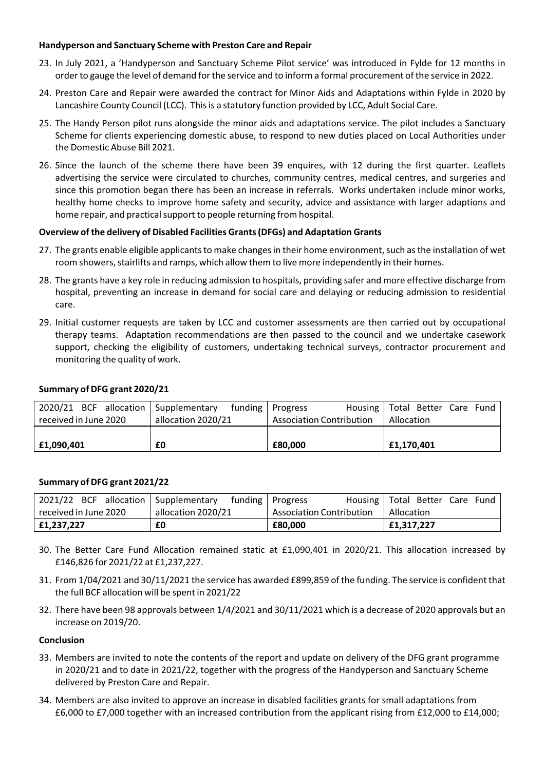# **Handyperson and Sanctuary Scheme with Preston Care and Repair**

- 23. In July 2021, a 'Handyperson and Sanctuary Scheme Pilot service' was introduced in Fylde for 12 months in orderto gauge the level of demand forthe service and to inform a formal procurement of the service in 2022.
- 24. Preston Care and Repair were awarded the contract for Minor Aids and Adaptations within Fylde in 2020 by Lancashire County Council (LCC). Thisis a statutory function provided by LCC, Adult Social Care.
- 25. The Handy Person pilot runs alongside the minor aids and adaptations service. The pilot includes a Sanctuary Scheme for clients experiencing domestic abuse, to respond to new duties placed on Local Authorities under the Domestic Abuse Bill 2021.
- 26. Since the launch of the scheme there have been 39 enquires, with 12 during the first quarter. Leaflets advertising the service were circulated to churches, community centres, medical centres, and surgeries and since this promotion began there has been an increase in referrals. Works undertaken include minor works, healthy home checks to improve home safety and security, advice and assistance with larger adaptions and home repair, and practical support to people returning from hospital.

# **Overview ofthe delivery of Disabled Facilities Grants(DFGs) and Adaptation Grants**

- 27. The grants enable eligible applicants to make changes in their home environment, such as the installation of wet room showers, stairlifts and ramps, which allow them to live more independently in their homes.
- 28. The grants have a key role in reducing admission to hospitals, providing safer and more effective discharge from hospital, preventing an increase in demand for social care and delaying or reducing admission to residential care.
- 29. Initial customer requests are taken by LCC and customer assessments are then carried out by occupational therapy teams. Adaptation recommendations are then passed to the council and we undertake casework support, checking the eligibility of customers, undertaking technical surveys, contractor procurement and monitoring the quality of work.

#### **Summary of DFG grant 2020/21**

|                       | 2020/21 BCF allocation   Supplementary funding   Progress |                                 | Housing   Total Better Care Fund |
|-----------------------|-----------------------------------------------------------|---------------------------------|----------------------------------|
| received in June 2020 | allocation 2020/21                                        | <b>Association Contribution</b> | Allocation                       |
|                       |                                                           |                                 |                                  |
| £1,090,401            | £0                                                        | £80.000                         | £1,170,401                       |

#### **Summary of DFG grant 2021/22**

| 2021/22 BCF allocation   Supplementary funding   Progress |                    |                          | Housing   Total Better Care Fund |
|-----------------------------------------------------------|--------------------|--------------------------|----------------------------------|
| received in June 2020                                     | allocation 2020/21 | Association Contribution | Allocation                       |
| £1,237,227                                                | £0                 | £80.000                  | £1,317,227                       |

- 30. The Better Care Fund Allocation remained static at £1,090,401 in 2020/21. This allocation increased by £146,826 for 2021/22 at £1,237,227.
- 31. From 1/04/2021 and 30/11/2021 the service has awarded £899,859 of the funding. The service is confident that the full BCF allocation will be spent in 2021/22
- 32. There have been 98 approvals between 1/4/2021 and 30/11/2021 which is a decrease of 2020 approvals but an increase on 2019/20.

#### **Conclusion**

- 33. Members are invited to note the contents of the report and update on delivery of the DFG grant programme in 2020/21 and to date in 2021/22, together with the progress of the Handyperson and Sanctuary Scheme delivered by Preston Care and Repair.
- 34. Members are also invited to approve an increase in disabled facilities grants for small adaptations from £6,000 to £7,000 together with an increased contribution from the applicant rising from £12,000 to £14,000;